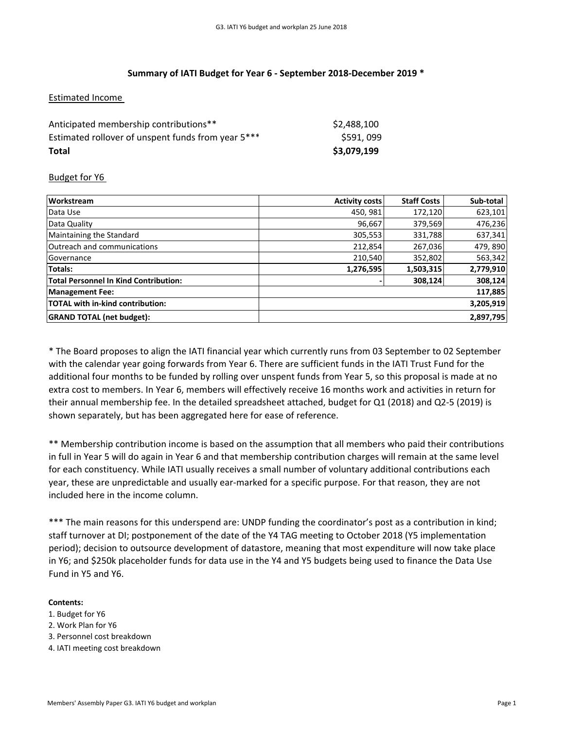## **Summary of IATI Budget for Year 6 - September 2018-December 2019 \***

Estimated Income

| Anticipated membership contributions**             | \$2,488,100 |
|----------------------------------------------------|-------------|
| Estimated rollover of unspent funds from year 5*** | \$591,099   |
| Total                                              | \$3,079,199 |

### Budget for Y6

| <b>Workstream</b>                            | Activity costs | <b>Staff Costs</b> | Sub-total |
|----------------------------------------------|----------------|--------------------|-----------|
| Data Use                                     | 450, 981       | 172,120            | 623,101   |
| Data Quality                                 | 96,667         | 379,569            | 476,236   |
| Maintaining the Standard                     | 305,553        | 331,788            | 637,341   |
| Outreach and communications                  | 212,854        | 267,036            | 479,890   |
| Governance                                   | 210,540        | 352,802            | 563,342   |
| <b>Totals:</b>                               | 1,276,595      | 1,503,315          | 2,779,910 |
| <b>Total Personnel In Kind Contribution:</b> |                | 308,124            | 308,124   |
| <b>Management Fee:</b>                       |                |                    | 117,885   |
| <b>TOTAL with in-kind contribution:</b>      |                |                    | 3,205,919 |
| <b>GRAND TOTAL (net budget):</b>             |                |                    | 2,897,795 |

\* The Board proposes to align the IATI financial year which currently runs from 03 September to 02 September with the calendar year going forwards from Year 6. There are sufficient funds in the IATI Trust Fund for the additional four months to be funded by rolling over unspent funds from Year 5, so this proposal is made at no extra cost to members. In Year 6, members will effectively receive 16 months work and activities in return for their annual membership fee. In the detailed spreadsheet attached, budget for Q1 (2018) and Q2-5 (2019) is shown separately, but has been aggregated here for ease of reference.

\*\* Membership contribution income is based on the assumption that all members who paid their contributions in full in Year 5 will do again in Year 6 and that membership contribution charges will remain at the same level for each constituency. While IATI usually receives a small number of voluntary additional contributions each year, these are unpredictable and usually ear-marked for a specific purpose. For that reason, they are not included here in the income column.

\*\*\* The main reasons for this underspend are: UNDP funding the coordinator's post as a contribution in kind; staff turnover at DI; postponement of the date of the Y4 TAG meeting to October 2018 (Y5 implementation period); decision to outsource development of datastore, meaning that most expenditure will now take place in Y6; and \$250k placeholder funds for data use in the Y4 and Y5 budgets being used to finance the Data Use Fund in Y5 and Y6.

#### **Contents:**

- 1. Budget for Y6
- 2. Work Plan for Y6
- 3. Personnel cost breakdown
- 4. IATI meeting cost breakdown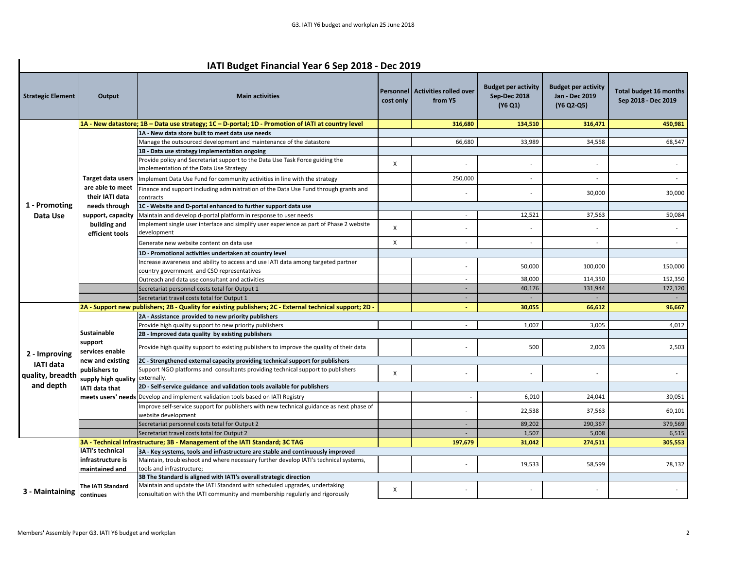## **IATI Budget Financial Year 6 Sep 2018 - Dec 2019**

| <b>Strategic Element</b>  | Output                          | <b>Main activities</b>                                                                                                                                     | cost only | Personnel   Activities rolled over<br>from Y5 | <b>Budget per activity</b><br>Sep-Dec 2018<br>(Y6Q1) | <b>Budget per activity</b><br>Jan - Dec 2019<br>(Y6 Q2-Q5) | <b>Total budget 16 months</b><br>Sep 2018 - Dec 2019 |  |  |
|---------------------------|---------------------------------|------------------------------------------------------------------------------------------------------------------------------------------------------------|-----------|-----------------------------------------------|------------------------------------------------------|------------------------------------------------------------|------------------------------------------------------|--|--|
|                           |                                 | 1A - New datastore; 1B - Data use strategy; 1C - D-portal; 1D - Promotion of IATI at country level                                                         |           | 316,680                                       | 134,510                                              | 316,471                                                    | 450,981                                              |  |  |
|                           |                                 | 1A - New data store built to meet data use needs                                                                                                           |           |                                               |                                                      |                                                            |                                                      |  |  |
|                           |                                 | Manage the outsourced development and maintenance of the datastore                                                                                         |           | 66,680                                        | 33,989                                               | 34,558                                                     | 68,547                                               |  |  |
|                           |                                 | 1B - Data use strategy implementation ongoing                                                                                                              |           |                                               |                                                      |                                                            |                                                      |  |  |
|                           |                                 | Provide policy and Secretariat support to the Data Use Task Force guiding the                                                                              | X         |                                               |                                                      |                                                            |                                                      |  |  |
|                           |                                 | implementation of the Data Use Strategy                                                                                                                    |           |                                               |                                                      |                                                            |                                                      |  |  |
|                           | <b>Target data users</b>        | Implement Data Use Fund for community activities in line with the strategy                                                                                 |           | 250,000                                       |                                                      |                                                            |                                                      |  |  |
|                           | are able to meet                | Finance and support including administration of the Data Use Fund through grants and                                                                       |           |                                               |                                                      | 30,000                                                     | 30,000                                               |  |  |
|                           | their IATI data                 | contracts                                                                                                                                                  |           |                                               |                                                      |                                                            |                                                      |  |  |
| 1 - Promoting             | needs through                   | 1C - Website and D-portal enhanced to further support data use                                                                                             |           |                                               |                                                      |                                                            |                                                      |  |  |
| Data Use                  | support, capacity               | Maintain and develop d-portal platform in response to user needs                                                                                           |           |                                               | 12,521                                               | 37,563                                                     | 50,084                                               |  |  |
|                           | building and<br>efficient tools | mplement single user interface and simplify user experience as part of Phase 2 website<br>development                                                      | X         |                                               |                                                      |                                                            |                                                      |  |  |
|                           |                                 | Generate new website content on data use                                                                                                                   | X         |                                               |                                                      |                                                            |                                                      |  |  |
|                           |                                 | 1D - Promotional activities undertaken at country level                                                                                                    |           |                                               |                                                      |                                                            |                                                      |  |  |
|                           |                                 | ncrease awareness and ability to access and use IATI data among targeted partner                                                                           |           |                                               |                                                      |                                                            |                                                      |  |  |
|                           |                                 | country government and CSO representatives                                                                                                                 |           |                                               | 50,000                                               | 100,000                                                    | 150,000                                              |  |  |
|                           |                                 | Outreach and data use consultant and activities                                                                                                            |           | $\sim$                                        | 38,000                                               | 114,350                                                    | 152,350                                              |  |  |
|                           |                                 | Secretariat personnel costs total for Output 1                                                                                                             |           |                                               | 40,176                                               | 131,944                                                    | 172,120                                              |  |  |
|                           |                                 | Secretariat travel costs total for Output 1                                                                                                                |           | $\sim$                                        |                                                      |                                                            |                                                      |  |  |
|                           |                                 | 2A - Support new publishers; 2B - Quality for existing publishers; 2C - External technical support; 2D                                                     |           |                                               | 30,055                                               | 66,612                                                     | 96,667                                               |  |  |
|                           |                                 | 2A - Assistance provided to new priority publishers                                                                                                        |           |                                               |                                                      |                                                            |                                                      |  |  |
|                           |                                 | 1,007<br>3,005<br>Provide high quality support to new priority publishers<br>$\sim$                                                                        |           |                                               |                                                      |                                                            |                                                      |  |  |
|                           | <b>Sustainable</b>              | 2B - Improved data quality by existing publishers                                                                                                          |           |                                               |                                                      |                                                            |                                                      |  |  |
| 2 - Improving             | support<br>services enable      | Provide high quality support to existing publishers to improve the quality of their data                                                                   |           |                                               | 500                                                  | 2,003                                                      | 2,503                                                |  |  |
| <b>IATI data</b>          | new and existing                | 2C - Strengthened external capacity providing technical support for publishers                                                                             |           |                                               |                                                      |                                                            |                                                      |  |  |
|                           | publishers to                   | Support NGO platforms and consultants providing technical support to publishers                                                                            | X         |                                               |                                                      |                                                            |                                                      |  |  |
| quality, breadth          | supply high quality externally. |                                                                                                                                                            |           |                                               |                                                      |                                                            |                                                      |  |  |
| and depth                 | <b>IATI data that</b>           | 2D - Self-service guidance and validation tools available for publishers                                                                                   |           |                                               |                                                      |                                                            |                                                      |  |  |
|                           |                                 | meets users' needs Develop and implement validation tools based on IATI Registry                                                                           |           |                                               | 6,010                                                | 24,041                                                     | 30,051                                               |  |  |
|                           |                                 | Improve self-service support for publishers with new technical guidance as next phase of                                                                   |           |                                               | 22,538                                               | 37,563                                                     | 60,101                                               |  |  |
|                           |                                 | website development                                                                                                                                        |           |                                               |                                                      |                                                            |                                                      |  |  |
|                           |                                 | Secretariat personnel costs total for Output 2                                                                                                             |           | $\sim$                                        | 89,202                                               | 290,367                                                    | 379,569                                              |  |  |
|                           |                                 | Secretariat travel costs total for Output 2                                                                                                                |           |                                               | 1,507                                                | 5,008                                                      | 6,515                                                |  |  |
|                           |                                 | 3A - Technical Infrastructure; 3B - Management of the IATI Standard; 3C TAG                                                                                |           | 197,679                                       | 31,042                                               | 274,511                                                    | 305,553                                              |  |  |
|                           | <b>IATI's technical</b>         | 3A - Key systems, tools and infrastructure are stable and continuously improved                                                                            |           |                                               |                                                      |                                                            |                                                      |  |  |
|                           | infrastructure is               | Maintain, troubleshoot and where necessary further develop IATI's technical systems,                                                                       |           |                                               | 19,533                                               | 58,599                                                     | 78,132                                               |  |  |
|                           | maintained and                  | tools and infrastructure;                                                                                                                                  |           |                                               |                                                      |                                                            |                                                      |  |  |
|                           |                                 | 3B The Standard is aligned with IATI's overall strategic direction                                                                                         |           |                                               |                                                      |                                                            |                                                      |  |  |
| 3 - Maintaining continues | <b>The IATI Standard</b>        | Maintain and update the IATI Standard with scheduled upgrades, undertaking<br>consultation with the IATI community and membership regularly and rigorously | X         |                                               |                                                      |                                                            |                                                      |  |  |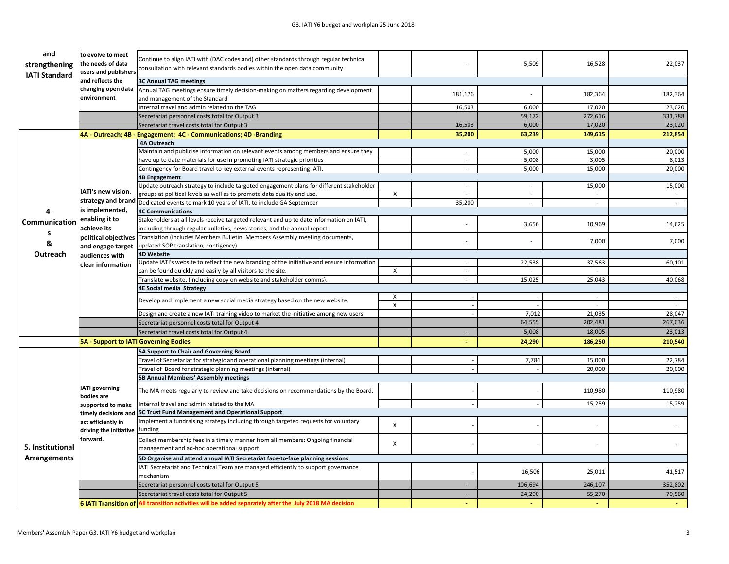| and<br>strengthening | to evolve to meet<br>the needs of data<br>users and publishers | Continue to align IATI with (DAC codes and) other standards through regular technical<br>consultation with relevant standards bodies within the open data community |              |                          | 5,509   | 16,528         | 22,037  |
|----------------------|----------------------------------------------------------------|---------------------------------------------------------------------------------------------------------------------------------------------------------------------|--------------|--------------------------|---------|----------------|---------|
| <b>IATI Standard</b> | and reflects the                                               | <b>3C Annual TAG meetings</b>                                                                                                                                       |              |                          |         |                |         |
|                      | changing open data                                             | Annual TAG meetings ensure timely decision-making on matters regarding development                                                                                  |              |                          |         |                |         |
|                      | environment                                                    | and management of the Standard                                                                                                                                      |              | 181,176                  |         | 182,364        | 182,364 |
|                      |                                                                | Internal travel and admin related to the TAG                                                                                                                        |              | 16,503                   | 6,000   | 17,020         | 23,020  |
|                      |                                                                | Secretariat personnel costs total for Output 3                                                                                                                      |              |                          | 59,172  | 272,616        | 331,788 |
|                      |                                                                | Secretariat travel costs total for Output 3                                                                                                                         |              | 16,503                   | 6,000   | 17,020         | 23,020  |
|                      |                                                                | 4A - Outreach; 4B - Engagement; 4C - Communications; 4D -Branding                                                                                                   |              | 35,200                   | 63,239  | 149,615        | 212,854 |
|                      |                                                                | 4A Outreach                                                                                                                                                         |              |                          |         |                |         |
|                      |                                                                | Maintain and publicise information on relevant events among members and ensure they                                                                                 |              | $\sim$                   | 5,000   | 15,000         | 20,000  |
|                      |                                                                | have up to date materials for use in promoting IATI strategic priorities                                                                                            |              |                          | 5,008   | 3,005          | 8,013   |
|                      |                                                                | Contingency for Board travel to key external events representing IATI.                                                                                              |              | $\sim$                   | 5,000   | 15,000         | 20,000  |
|                      |                                                                | <b>4B Engagement</b>                                                                                                                                                |              |                          |         |                |         |
|                      | IATI's new vision,                                             | Update outreach strategy to include targeted engagement plans for different stakeholder                                                                             |              | $\overline{\phantom{a}}$ | $\sim$  | 15,000         | 15,000  |
|                      |                                                                | groups at political levels as well as to promote data quality and use.                                                                                              | X            | $\sim$                   | $\sim$  | $\sim$         | $\sim$  |
|                      | strategy and bran                                              | Dedicated events to mark 10 years of IATI, to include GA September                                                                                                  |              | 35,200                   |         |                |         |
| 4 -                  | is implemented,                                                | <b>4C Communications</b>                                                                                                                                            |              |                          |         |                |         |
| Communication        | enabling it to                                                 | Stakeholders at all levels receive targeted relevant and up to date information on IATI,                                                                            |              |                          | 3,656   | 10,969         | 14,625  |
| s                    | achieve its                                                    | including through regular bulletins, news stories, and the annual report                                                                                            |              |                          |         |                |         |
| &                    |                                                                | political objectives Translation (includes Members Bulletin, Members Assembly meeting documents,                                                                    |              |                          |         | 7,000          | 7,000   |
|                      | and engage target                                              | updated SOP translation, contigency)                                                                                                                                |              |                          |         |                |         |
| Outreach             | audiences with                                                 | <b>4D Website</b>                                                                                                                                                   |              |                          |         |                |         |
|                      | clear information                                              | Update IATI's website to reflect the new branding of the initiative and ensure information                                                                          |              | $\sim$                   | 22,538  | 37,563         | 60,101  |
|                      |                                                                | can be found quickly and easily by all visitors to the site.                                                                                                        | X            |                          |         |                |         |
|                      |                                                                | Translate website, (including copy on website and stakeholder comms).<br>4E Social media Strategy                                                                   |              | $\sim$                   | 15,025  | 25,043         | 40,068  |
|                      |                                                                |                                                                                                                                                                     | $\mathsf{x}$ |                          |         | $\sim$         | $\sim$  |
|                      |                                                                | Develop and implement a new social media strategy based on the new website.                                                                                         | X            |                          |         | $\sim$         | $\sim$  |
|                      |                                                                | Design and create a new IATI training video to market the initiative among new users                                                                                |              |                          | 7,012   | 21,035         | 28,047  |
|                      |                                                                | Secretariat personnel costs total for Output 4                                                                                                                      |              |                          | 64,555  | 202,481        | 267,036 |
|                      |                                                                | Secretariat travel costs total for Output 4                                                                                                                         |              | $\sim$                   | 5,008   | 18,005         | 23,013  |
|                      | <b>5A - Support to IATI Governing Bodies</b>                   |                                                                                                                                                                     |              |                          | 24,290  | 186,250        | 210,540 |
|                      |                                                                | 5A Support to Chair and Governing Board                                                                                                                             |              |                          |         |                |         |
|                      |                                                                | Travel of Secretariat for strategic and operational planning meetings (internal)                                                                                    |              |                          | 7,784   | 15,000         | 22,784  |
|                      |                                                                | Travel of Board for strategic planning meetings (internal)                                                                                                          |              |                          |         | 20,000         | 20,000  |
|                      |                                                                | <b>5B Annual Members' Assembly meetings</b>                                                                                                                         |              |                          |         |                |         |
|                      | <b>IATI governing</b>                                          |                                                                                                                                                                     |              |                          |         |                |         |
|                      | bodies are                                                     | The MA meets regularly to review and take decisions on recommendations by the Board.                                                                                |              |                          |         | 110,980        | 110,980 |
|                      | supported to make                                              | Internal travel and admin related to the MA                                                                                                                         |              |                          |         | 15,259         | 15,259  |
|                      | timely decisions and                                           | 5C Trust Fund Management and Operational Support                                                                                                                    |              |                          |         |                |         |
|                      | act efficiently in                                             | Implement a fundraising strategy including through targeted requests for voluntary                                                                                  |              |                          |         |                |         |
|                      | driving the initiative funding                                 |                                                                                                                                                                     | $\mathsf{x}$ |                          |         |                |         |
|                      | forward.                                                       | Collect membership fees in a timely manner from all members; Ongoing financial                                                                                      |              |                          |         |                |         |
| 5. Institutional     |                                                                | management and ad-hoc operational support.                                                                                                                          | X            |                          |         |                |         |
| <b>Arrangements</b>  |                                                                | 5D Organise and attend annual IATI Secretariat face-to-face planning sessions                                                                                       |              |                          |         |                |         |
|                      |                                                                | IATI Secretariat and Technical Team are managed efficiently to support governance                                                                                   |              |                          |         |                |         |
|                      |                                                                | mechanism                                                                                                                                                           |              |                          | 16,506  | 25,011         | 41,517  |
|                      |                                                                | Secretariat personnel costs total for Output 5                                                                                                                      |              |                          | 106,694 | 246,107        | 352,802 |
|                      |                                                                | Secretariat travel costs total for Output 5                                                                                                                         |              | $\sim$                   | 24,290  | 55,270         | 79,560  |
|                      |                                                                | 6 IATI Transition of All transition activities will be added separately after the July 2018 MA decision                                                             |              |                          |         | $\blacksquare$ | $\sim$  |
|                      |                                                                |                                                                                                                                                                     |              |                          |         |                |         |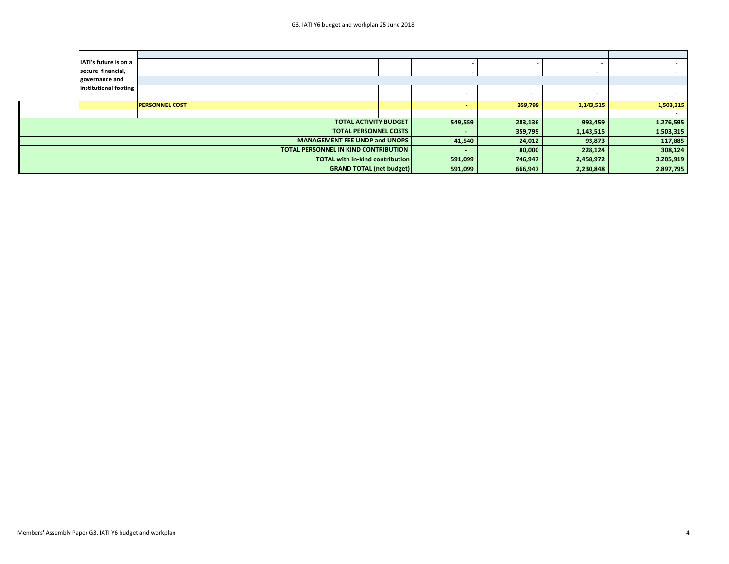| IATI's future is on a |                                             |  |                          |         |           |           |  |  |  |  |
|-----------------------|---------------------------------------------|--|--------------------------|---------|-----------|-----------|--|--|--|--|
| secure financial,     |                                             |  |                          |         |           |           |  |  |  |  |
| governance and        |                                             |  |                          |         |           |           |  |  |  |  |
| institutional footing |                                             |  | $\overline{\phantom{a}}$ |         |           |           |  |  |  |  |
|                       |                                             |  |                          |         |           |           |  |  |  |  |
|                       | <b>PERSONNEL COST</b>                       |  | $\overline{\phantom{0}}$ | 359,799 | 1,143,515 | 1,503,315 |  |  |  |  |
|                       |                                             |  |                          |         |           |           |  |  |  |  |
|                       | <b>TOTAL ACTIVITY BUDGET</b>                |  | 549,559                  | 283,136 | 993,459   | 1,276,595 |  |  |  |  |
|                       | <b>TOTAL PERSONNEL COSTS</b>                |  |                          | 359,799 | 1,143,515 | 1,503,315 |  |  |  |  |
|                       | <b>MANAGEMENT FEE UNDP and UNOPS</b>        |  | 41,540                   | 24,012  | 93,873    | 117,885   |  |  |  |  |
|                       | <b>TOTAL PERSONNEL IN KIND CONTRIBUTION</b> |  |                          | 80,000  | 228,124   | 308,124   |  |  |  |  |
|                       | <b>TOTAL with in-kind contribution</b>      |  | 591,099                  | 746,947 | 2,458,972 | 3,205,919 |  |  |  |  |
|                       | <b>GRAND TOTAL (net budget)</b>             |  | 591,099                  | 666,947 | 2,230,848 | 2,897,795 |  |  |  |  |
|                       |                                             |  |                          |         |           |           |  |  |  |  |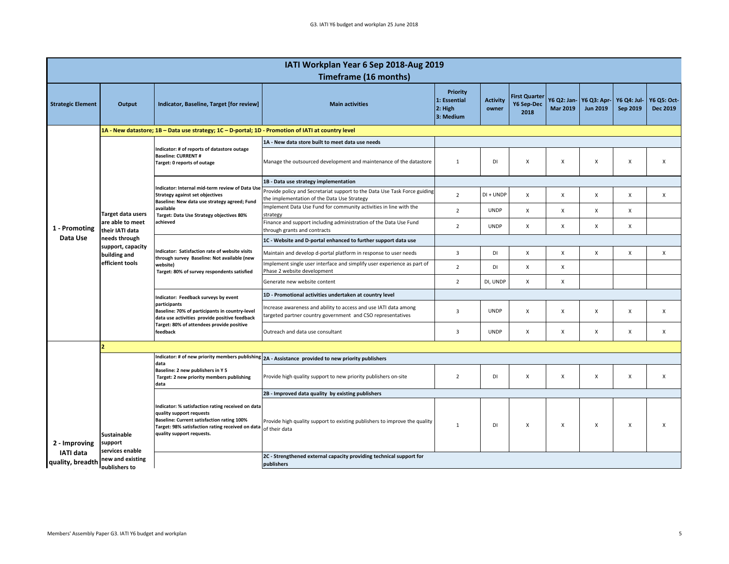|                                                      |                                                      |                                                                                                                                                                                                              | IATI Workplan Year 6 Sep 2018-Aug 2019<br><b>Timeframe (16 months)</b>                                                          |                                                         |                          |                                            |                                |                                |                         |                         |  |  |  |
|------------------------------------------------------|------------------------------------------------------|--------------------------------------------------------------------------------------------------------------------------------------------------------------------------------------------------------------|---------------------------------------------------------------------------------------------------------------------------------|---------------------------------------------------------|--------------------------|--------------------------------------------|--------------------------------|--------------------------------|-------------------------|-------------------------|--|--|--|
| <b>Strategic Element</b>                             | Output                                               | Indicator, Baseline, Target [for review]                                                                                                                                                                     | <b>Main activities</b>                                                                                                          | <b>Priority</b><br>1: Essential<br>2: High<br>3: Medium | <b>Activity</b><br>owner | <b>First Quarter</b><br>Y6 Sep-Dec<br>2018 | Y6 Q2: Jan-<br><b>Mar 2019</b> | Y6 Q3: Apr-<br><b>Jun 2019</b> | Y6 Q4: Jul-<br>Sep 2019 | Y6 Q5: Oct-<br>Dec 2019 |  |  |  |
|                                                      |                                                      | 1A - New datastore; 1B – Data use strategy; 1C – D-portal; 1D - Promotion of IATI at country level                                                                                                           |                                                                                                                                 |                                                         |                          |                                            |                                |                                |                         |                         |  |  |  |
|                                                      |                                                      |                                                                                                                                                                                                              | 1A - New data store built to meet data use needs                                                                                |                                                         |                          |                                            |                                |                                |                         |                         |  |  |  |
|                                                      |                                                      | Indicator: # of reports of datastore outage<br><b>Baseline: CURRENT#</b><br>Target: 0 reports of outage                                                                                                      | Manage the outsourced development and maintenance of the datastore                                                              | $\mathbf{1}$                                            | DI                       | X                                          | X                              | x                              | X                       | X                       |  |  |  |
|                                                      |                                                      |                                                                                                                                                                                                              | 1B - Data use strategy implementation                                                                                           |                                                         |                          |                                            |                                |                                |                         |                         |  |  |  |
|                                                      |                                                      | Indicator: Internal mid-term review of Data Use<br>Strategy against set objectives<br>Baseline: New data use strategy agreed; Fund                                                                           | Provide policy and Secretariat support to the Data Use Task Force guiding<br>the implementation of the Data Use Strategy        | $\overline{2}$                                          | DI + UNDP                | X                                          | $\boldsymbol{\mathsf{x}}$      | X                              | X                       | X                       |  |  |  |
| are able to meet<br>1 - Promoting<br>their IATI data | Target data users                                    | available<br>Target: Data Use Strategy objectives 80%                                                                                                                                                        | Implement Data Use Fund for community activities in line with the<br>strategy                                                   | $\overline{2}$                                          | <b>UNDP</b>              | X                                          | $\pmb{\times}$                 | x                              | X                       |                         |  |  |  |
|                                                      |                                                      | achieved                                                                                                                                                                                                     | Finance and support including administration of the Data Use Fund<br>through grants and contracts                               | $\overline{2}$                                          | <b>UNDP</b>              | X                                          | X                              | X                              | X                       |                         |  |  |  |
| Data Use                                             | needs through                                        |                                                                                                                                                                                                              | 1C - Website and D-portal enhanced to further support data use                                                                  |                                                         |                          |                                            |                                |                                |                         |                         |  |  |  |
|                                                      | support, capacity<br>building and<br>efficient tools | Indicator: Satisfaction rate of website visits<br>through survey Baseline: Not available (new<br>website)<br>Target: 80% of survey respondents satisfied                                                     | Maintain and develop d-portal platform in response to user needs                                                                | $\overline{3}$                                          | DI                       | X                                          | $\pmb{\times}$                 | x                              | X                       | X                       |  |  |  |
|                                                      |                                                      |                                                                                                                                                                                                              | Implement single user interface and simplify user experience as part of<br>Phase 2 website development                          | $\overline{2}$                                          | DI                       | X                                          | X                              |                                |                         |                         |  |  |  |
|                                                      |                                                      |                                                                                                                                                                                                              | Generate new website content                                                                                                    | $\overline{2}$                                          | DI, UNDP                 | X                                          | $\pmb{\times}$                 |                                |                         |                         |  |  |  |
|                                                      |                                                      | Indicator: Feedback surveys by event                                                                                                                                                                         | 1D - Promotional activities undertaken at country level                                                                         |                                                         |                          |                                            |                                |                                |                         |                         |  |  |  |
|                                                      |                                                      | participants<br>Baseline: 70% of participants in country-level<br>data use activities provide positive feedback<br>Target: 80% of attendees provide positive<br>feedback                                     | Increase awareness and ability to access and use IATI data among<br>targeted partner country government and CSO representatives | 3                                                       | <b>UNDP</b>              | X                                          | X                              | Χ                              | X                       | x                       |  |  |  |
|                                                      |                                                      |                                                                                                                                                                                                              | Outreach and data use consultant                                                                                                | $\overline{3}$                                          | <b>UNDP</b>              | X                                          | X                              | X                              | X                       | X                       |  |  |  |
|                                                      |                                                      |                                                                                                                                                                                                              |                                                                                                                                 |                                                         |                          |                                            |                                |                                |                         |                         |  |  |  |
|                                                      |                                                      |                                                                                                                                                                                                              | Indicator: # of new priority members publishing 2A - Assistance provided to new priority publishers                             |                                                         |                          |                                            |                                |                                |                         |                         |  |  |  |
|                                                      |                                                      | data<br>Baseline: 2 new publishers in Y 5<br>Target: 2 new priority members publishing<br>data                                                                                                               | Provide high quality support to new priority publishers on-site                                                                 | $\overline{2}$                                          | <b>DI</b>                | X                                          | $\pmb{\times}$                 | X                              | X                       | X                       |  |  |  |
|                                                      |                                                      |                                                                                                                                                                                                              | 2B - Improved data quality by existing publishers                                                                               |                                                         |                          |                                            |                                |                                |                         |                         |  |  |  |
| <b>Sustainable</b><br>support<br>2 - Improving       | services enable                                      | Indicator: % satisfaction rating received on data<br>quality support requests<br>Baseline: Current satisfaction rating 100%<br>Target: 98% satisfaction rating received on data<br>quality support requests. | Provide high quality support to existing publishers to improve the quality<br>of their data                                     | $\mathbf{1}$                                            | DI                       | x                                          | X                              | Х                              | X                       | x                       |  |  |  |
| <b>IATI data</b><br>quality, breadth                 | new and existing<br>publishers to                    |                                                                                                                                                                                                              | 2C - Strengthened external capacity providing technical support for<br>publishers                                               |                                                         |                          |                                            |                                |                                |                         |                         |  |  |  |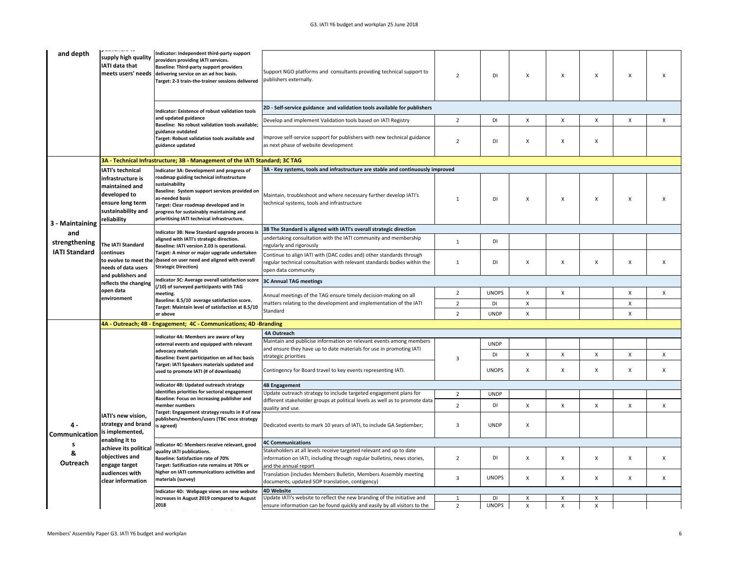| <br>and depth<br>Indicator: Independent third-party support<br>supply high quality<br>providers providing IATI services.<br>IATI data that<br>Baseline: Third-party support providers<br>meets users' needs<br>delivering service on an ad hoc basis.<br>Target: 2-3 train-the-trainer sessions delivered |                                                                                             |                                                                                                                                                                                                                                                                     | Support NGO platforms and consultants providing technical support to<br>publishers externally.                                                                         | $\overline{2}$ | DI           | X                  | X | $\pmb{\times}$     | X            | $\pmb{\times}$ |  |  |  |
|-----------------------------------------------------------------------------------------------------------------------------------------------------------------------------------------------------------------------------------------------------------------------------------------------------------|---------------------------------------------------------------------------------------------|---------------------------------------------------------------------------------------------------------------------------------------------------------------------------------------------------------------------------------------------------------------------|------------------------------------------------------------------------------------------------------------------------------------------------------------------------|----------------|--------------|--------------------|---|--------------------|--------------|----------------|--|--|--|
|                                                                                                                                                                                                                                                                                                           |                                                                                             | Indicator: Existence of robust validation tools                                                                                                                                                                                                                     | 2D - Self-service guidance and validation tools available for publishers                                                                                               |                |              |                    |   |                    |              |                |  |  |  |
|                                                                                                                                                                                                                                                                                                           |                                                                                             | and updated guidance<br>Baseline: No robust validation tools available;                                                                                                                                                                                             | Develop and implement Validation tools based on IATI Registry                                                                                                          | $\overline{2}$ | DI           | $\times$           | X | X                  | $\mathsf{X}$ | X              |  |  |  |
|                                                                                                                                                                                                                                                                                                           |                                                                                             | guidance outdated<br>Target: Robust validation tools available and<br>guidance updated                                                                                                                                                                              | Improve self-service support for publishers with new technical guidance<br>as next phase of website development                                                        | $\overline{2}$ | DI           | X                  | X | $\pmb{\times}$     |              |                |  |  |  |
|                                                                                                                                                                                                                                                                                                           |                                                                                             | 3A - Technical Infrastructure; 3B - Management of the IATI Standard; 3C TAG                                                                                                                                                                                         |                                                                                                                                                                        |                |              |                    |   |                    |              |                |  |  |  |
|                                                                                                                                                                                                                                                                                                           | <b>IATI's technical</b>                                                                     | Indicator 3A: Development and progress of                                                                                                                                                                                                                           | 3A - Key systems, tools and infrastructure are stable and continuously improved                                                                                        |                |              |                    |   |                    |              |                |  |  |  |
| maintained and<br>developed to<br>reliability<br>3 - Maintaining                                                                                                                                                                                                                                          | infrastructure is<br>ensure long term<br>sustainability and                                 | roadmap guiding technical infrastructure<br>sustainability<br>Baseline: System support services provided on<br>as-needed basis<br>Target: Clear roadmap developed and in<br>progress for sustainably maintaining and<br>prioritising IATI technical infrastructure. | Maintain, troubleshoot and where necessary further develop IATI's<br>technical systems, tools and infrastructure                                                       | $\mathbf{1}$   | DI           | X                  | X | X                  | X            | X              |  |  |  |
| and                                                                                                                                                                                                                                                                                                       |                                                                                             | Indicator 3B: New Standard upgrade process is                                                                                                                                                                                                                       | 3B The Standard is aligned with IATI's overall strategic direction                                                                                                     |                |              |                    |   |                    |              |                |  |  |  |
| strengthening<br>The IATI Standard<br><b>IATI Standard</b><br>continues<br>to evolve to meet th<br>needs of data users<br>and publishers and<br>reflects the changing                                                                                                                                     | aligned with IATI's strategic direction.<br>Baseline: IATI version 2.03 is operational.     | undertaking consultation with the IATI community and membership<br>regularly and rigorously                                                                                                                                                                         | $\mathbf{1}$                                                                                                                                                           | DI             |              |                    |   |                    |              |                |  |  |  |
|                                                                                                                                                                                                                                                                                                           |                                                                                             | Target: A minor or major upgrade undertaken<br>(based on user need and aligned with overall<br><b>Strategic Direction)</b>                                                                                                                                          | Continue to align IATI with (DAC codes and) other standards through<br>regular technical consultation with relevant standards bodies within the<br>open data community | $\mathbf 1$    | DI           | X                  | X | X                  | x            | x              |  |  |  |
|                                                                                                                                                                                                                                                                                                           | Indicator 3C: Average overall satisfaction score<br>(/10) of surveyed participants with TAG | <b>3C Annual TAG meetings</b>                                                                                                                                                                                                                                       |                                                                                                                                                                        |                |              |                    |   |                    |              |                |  |  |  |
|                                                                                                                                                                                                                                                                                                           | open data                                                                                   | meeting.                                                                                                                                                                                                                                                            | Annual meetings of the TAG ensure timely decision-making on all                                                                                                        | $\overline{2}$ | <b>UNOPS</b> | X                  | X |                    | X            | X              |  |  |  |
|                                                                                                                                                                                                                                                                                                           | environment                                                                                 | Baseline: 8.5/10 average satisfaction score.<br>Target: Maintain level of satisfaction at 8.5/10                                                                                                                                                                    | matters relating to the development and implementation of the IATI                                                                                                     | $\overline{2}$ | <b>DI</b>    | $\pmb{\mathsf{X}}$ |   |                    | X            |                |  |  |  |
|                                                                                                                                                                                                                                                                                                           |                                                                                             | or above                                                                                                                                                                                                                                                            | Standard                                                                                                                                                               | $\overline{2}$ | <b>UNDP</b>  | $\mathsf{X}$       |   |                    | $\mathsf{x}$ |                |  |  |  |
|                                                                                                                                                                                                                                                                                                           |                                                                                             | 4A - Outreach; 4B - Engagement; 4C - Communications; 4D -Branding                                                                                                                                                                                                   |                                                                                                                                                                        |                |              |                    |   |                    |              |                |  |  |  |
|                                                                                                                                                                                                                                                                                                           |                                                                                             | Indicator 4A: Members are aware of key                                                                                                                                                                                                                              | <b>4A Outreach</b>                                                                                                                                                     |                |              |                    |   |                    |              |                |  |  |  |
|                                                                                                                                                                                                                                                                                                           |                                                                                             | external events and equipped with relevant                                                                                                                                                                                                                          | Maintain and publicise information on relevant events among members<br>and ensure they have up to date materials for use in promoting IATI                             |                | <b>UNDP</b>  |                    |   |                    |              |                |  |  |  |
|                                                                                                                                                                                                                                                                                                           |                                                                                             | advocacy materials<br>Baseline: Event participation on ad hoc basis                                                                                                                                                                                                 | strategic priorities                                                                                                                                                   | $\overline{3}$ | DI           | X                  | X | X                  | X            | X              |  |  |  |
|                                                                                                                                                                                                                                                                                                           |                                                                                             | Target: IATI Speakers materials updated and<br>used to promote IATI (# of downloads)                                                                                                                                                                                | Contingency for Board travel to key events representing IATI.                                                                                                          |                | <b>UNOPS</b> | X                  | X | X                  | X            | X              |  |  |  |
|                                                                                                                                                                                                                                                                                                           |                                                                                             | Indicator 4B: Updated outreach strategy                                                                                                                                                                                                                             | <b>4B Engagement</b>                                                                                                                                                   |                |              |                    |   |                    |              |                |  |  |  |
|                                                                                                                                                                                                                                                                                                           |                                                                                             | identifies priorities for sectoral engagement<br>Baseline: Focus on increasing publisher and                                                                                                                                                                        | Update outreach strategy to include targeted engagement plans for<br>different stakeholder groups at political levels as well as to promote data                       | $\overline{2}$ | <b>UNDP</b>  |                    |   |                    |              |                |  |  |  |
|                                                                                                                                                                                                                                                                                                           |                                                                                             | member numbers<br>Target: Engagement strategy results in # of new                                                                                                                                                                                                   | quality and use.                                                                                                                                                       | $\overline{2}$ | DI           | X                  | X | $\pmb{\mathsf{X}}$ | X            | X              |  |  |  |
| 4 -<br>Communication                                                                                                                                                                                                                                                                                      | IATI's new vision,<br>strategy and brand<br>is implemented,                                 | publishers/members/users (TBC once strategy<br>is agreed)                                                                                                                                                                                                           | Dedicated events to mark 10 years of IATI, to include GA September;                                                                                                    | 3              | <b>UNDP</b>  | X                  |   |                    |              |                |  |  |  |
| s                                                                                                                                                                                                                                                                                                         | enabling it to                                                                              | ndicator 4C: Members receive relevant, good                                                                                                                                                                                                                         | <b>4C Communications</b>                                                                                                                                               |                |              |                    |   |                    |              |                |  |  |  |
| &                                                                                                                                                                                                                                                                                                         | achieve its political<br>objectives and                                                     | quality IATI publications.                                                                                                                                                                                                                                          | Stakeholders at all levels receive targeted relevant and up to date                                                                                                    | $\overline{2}$ | DI           | X                  | X | $\pmb{\times}$     | X            | X              |  |  |  |
| Outreach                                                                                                                                                                                                                                                                                                  | engage target                                                                               | Baseline: Satisfaction rate of 70%<br>Target: Satification rate remains at 70% or                                                                                                                                                                                   | information on IATI, including through regular bulletins, news stories,<br>and the annual report                                                                       |                |              |                    |   |                    |              |                |  |  |  |
|                                                                                                                                                                                                                                                                                                           | audiences with<br>clear information                                                         | higher on IATI communications activities and<br>materials (survey)                                                                                                                                                                                                  | Translation (includes Members Bulletin, Members Assembly meeting<br>documents, updated SOP translation, contigency)                                                    | 3              | <b>UNOPS</b> | X                  | X | x                  | X            | X              |  |  |  |
|                                                                                                                                                                                                                                                                                                           |                                                                                             | Indicator 4D: Webpage views on new website                                                                                                                                                                                                                          | <b>4D Website</b>                                                                                                                                                      |                |              |                    |   |                    |              |                |  |  |  |
|                                                                                                                                                                                                                                                                                                           |                                                                                             | increases in August 2019 compared to August                                                                                                                                                                                                                         | Update IATI's website to reflect the new branding of the initiative and                                                                                                | 1              | DI           | Х                  | X | Х                  |              |                |  |  |  |
|                                                                                                                                                                                                                                                                                                           |                                                                                             | 2018                                                                                                                                                                                                                                                                | ensure information can be found quickly and easily by all visitors to the                                                                                              | $\overline{2}$ | <b>UNOPS</b> | $\mathsf{x}$       |   |                    |              |                |  |  |  |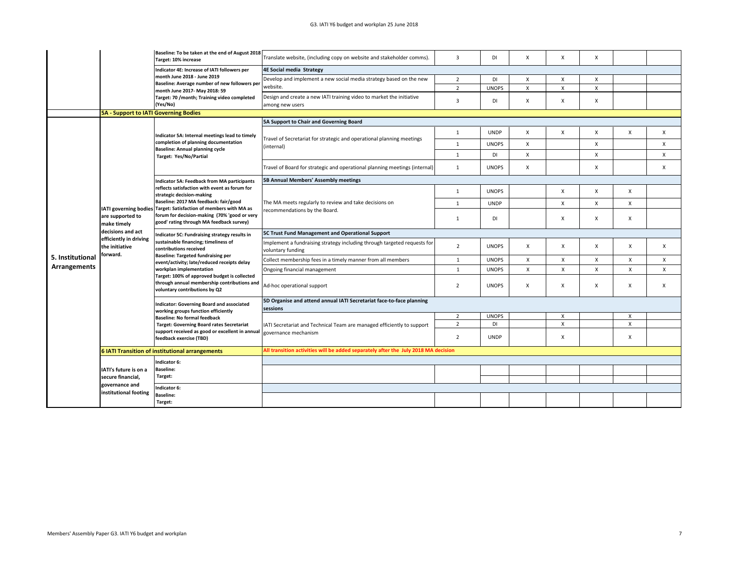#### G3. IATI Y6 budget and workplan 25 June 2018

|                       |                                              | Baseline: To be taken at the end of August 2018<br>Target: 10% increase                                                                                      | Translate website, (including copy on website and stakeholder comms).                         | $\overline{3}$ | DI           | X            | X | $\mathsf{X}$              |   |   |  |  |  |
|-----------------------|----------------------------------------------|--------------------------------------------------------------------------------------------------------------------------------------------------------------|-----------------------------------------------------------------------------------------------|----------------|--------------|--------------|---|---------------------------|---|---|--|--|--|
|                       |                                              | Indicator 4E: Increase of IATI followers per                                                                                                                 | 4E Social media Strategy                                                                      |                |              |              |   |                           |   |   |  |  |  |
|                       |                                              | month June 2018 - June 2019                                                                                                                                  | Develop and implement a new social media strategy based on the new                            | $\overline{2}$ | <b>DI</b>    | $\mathsf{x}$ | X | $\boldsymbol{\mathsf{x}}$ |   |   |  |  |  |
|                       |                                              | Baseline: Average number of new followers per<br>month June 2017- May 2018: 59                                                                               | website.                                                                                      | $\overline{2}$ | <b>UNOPS</b> | $\pmb{\chi}$ | X | X                         |   |   |  |  |  |
|                       |                                              | Target: 70 /month; Training video completed<br>(Yes/No)                                                                                                      | Design and create a new IATI training video to market the initiative<br>among new users       | $\overline{3}$ | DI           | X            | X | X                         |   |   |  |  |  |
|                       | <b>5A - Support to IATI Governing Bodies</b> |                                                                                                                                                              |                                                                                               |                |              |              |   |                           |   |   |  |  |  |
|                       |                                              |                                                                                                                                                              | 5A Support to Chair and Governing Board                                                       |                |              |              |   |                           |   |   |  |  |  |
|                       |                                              | Indicator 5A: Internal meetings lead to timely                                                                                                               |                                                                                               | 1              | <b>UNDP</b>  | X            | X | X                         | X | Χ |  |  |  |
|                       |                                              | completion of planning documentation<br><b>Baseline: Annual planning cycle</b>                                                                               | Travel of Secretariat for strategic and operational planning meetings<br>(internal)           | 1              | <b>UNOPS</b> | $\times$     |   | $\mathsf{X}$              |   | X |  |  |  |
|                       |                                              | Target: Yes/No/Partial                                                                                                                                       |                                                                                               | 1              | DI           | X            |   | $\pmb{\chi}$              |   | X |  |  |  |
|                       |                                              |                                                                                                                                                              | Travel of Board for strategic and operational planning meetings (internal)                    | 1              | <b>UNOPS</b> | Х            |   | Χ                         |   | Χ |  |  |  |
|                       |                                              | <b>Indicator 5A: Feedback from MA participants</b>                                                                                                           | 5B Annual Members' Assembly meetings                                                          |                |              |              |   |                           |   |   |  |  |  |
|                       |                                              | reflects satisfaction with event as forum for<br>strategic decision-making                                                                                   |                                                                                               | 1              | <b>UNOPS</b> |              | X | X                         | X |   |  |  |  |
|                       |                                              | Baseline: 2017 MA feedback: fair/good                                                                                                                        | The MA meets regularly to review and take decisions on                                        | 1              | <b>UNDP</b>  |              | X | X                         | X |   |  |  |  |
| make timely           | are supported to                             | IATI governing bodies Target: Satisfaction of members with MA as<br>forum for decision-making (70% 'good or very<br>good' rating through MA feedback survey) | ecommendations by the Board.                                                                  | 1              | DI           |              | X | X                         | X |   |  |  |  |
|                       | decisions and act                            | Indicator 5C: Fundraising strategy results in                                                                                                                | 5C Trust Fund Management and Operational Support                                              |                |              |              |   |                           |   |   |  |  |  |
|                       | efficiently in driving<br>the initiative     | sustainable financing; timeliness of<br>contributions received                                                                                               | Implement a fundraising strategy including through targeted requests for<br>voluntary funding | $\overline{2}$ | <b>UNOPS</b> | X            | X | X                         | X | X |  |  |  |
| 5. Institutional      | forward.                                     | <b>Baseline: Targeted fundraising per</b><br>event/activity; late/reduced receipts delay                                                                     | Collect membership fees in a timely manner from all members                                   | $\mathbf{1}$   | <b>UNOPS</b> | X            | X | X                         | X | X |  |  |  |
| Arrangements          |                                              | workplan implementation                                                                                                                                      | Ongoing financial management                                                                  | $\mathbf{1}$   | <b>UNOPS</b> | X            | X | X                         | X | X |  |  |  |
|                       |                                              | Target: 100% of approved budget is collected<br>through annual membership contributions and<br>voluntary contributions by Q2                                 | Ad-hoc operational support                                                                    | $\overline{2}$ | <b>UNOPS</b> | X            | X | Χ                         | X | X |  |  |  |
|                       |                                              | Indicator: Governing Board and associated<br>working groups function efficiently                                                                             | 5D Organise and attend annual IATI Secretariat face-to-face planning<br>sessions              |                |              |              |   |                           |   |   |  |  |  |
|                       |                                              | <b>Baseline: No formal feedback</b>                                                                                                                          |                                                                                               | $\overline{2}$ | <b>UNOPS</b> |              | X |                           | X |   |  |  |  |
|                       |                                              | <b>Target: Governing Board rates Secretariat</b>                                                                                                             | IATI Secretariat and Technical Team are managed efficiently to support                        | $\overline{2}$ | DI           |              | X |                           | X |   |  |  |  |
|                       |                                              | support received as good or excellent in annual<br>feedback exercise (TBD)                                                                                   | governance mechanism                                                                          | $\overline{2}$ | <b>UNDP</b>  |              | X |                           | X |   |  |  |  |
|                       |                                              | 6 IATI Transition of institutional arrangements                                                                                                              | All transition activities will be added separately after the July 2018 MA decision            |                |              |              |   |                           |   |   |  |  |  |
|                       |                                              | Indicator 6:                                                                                                                                                 |                                                                                               |                |              |              |   |                           |   |   |  |  |  |
|                       | IATI's future is on a                        | <b>Baseline:</b>                                                                                                                                             |                                                                                               |                |              |              |   |                           |   |   |  |  |  |
|                       | secure financial,                            | Target:                                                                                                                                                      |                                                                                               |                |              |              |   |                           |   |   |  |  |  |
|                       | governance and                               | Indicator 6:                                                                                                                                                 |                                                                                               |                |              |              |   |                           |   |   |  |  |  |
| institutional footing | <b>Baseline:</b><br>Target:                  |                                                                                                                                                              |                                                                                               |                |              |              |   |                           |   |   |  |  |  |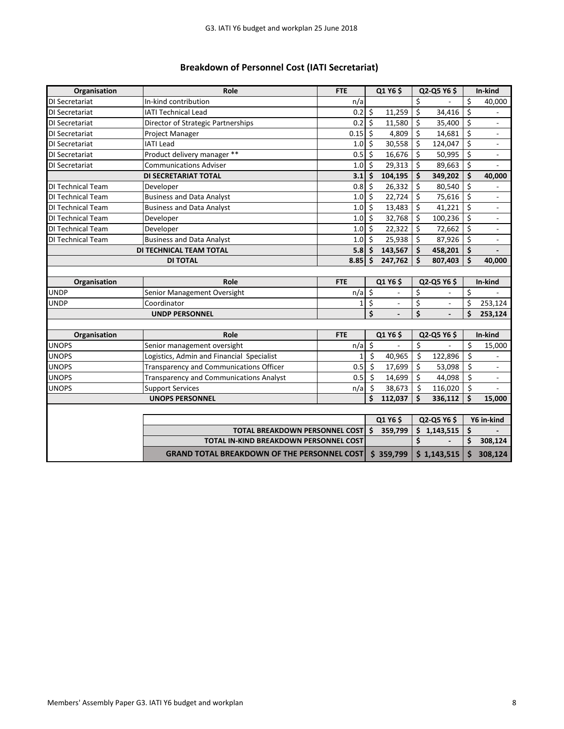# **Breakdown of Personnel Cost (IATI Secretariat)**

| Organisation             | Role                                               | <b>FTE</b>         |                     | Q1 Y6 \$                 |                     | Q2-Q5 Y6 \$                     |                  | In-kind                  |
|--------------------------|----------------------------------------------------|--------------------|---------------------|--------------------------|---------------------|---------------------------------|------------------|--------------------------|
| DI Secretariat           | In-kind contribution                               | n/a                |                     |                          | \$                  |                                 | \$               | 40,000                   |
| DI Secretariat           | <b>IATI Technical Lead</b>                         | $0.2$ \$           |                     | 11,259                   | \$                  | 34,416                          | $\zeta$          |                          |
| DI Secretariat           | Director of Strategic Partnerships                 | 0.2                | \$                  | 11,580                   | \$                  | 35,400                          | \$               | $\overline{\phantom{a}}$ |
| DI Secretariat           | Project Manager                                    | 0.15               | $\zeta$             | 4,809                    | \$                  | 14,681                          | \$               | $\sim$                   |
| DI Secretariat           | <b>IATI Lead</b>                                   | 1.0                | \$                  | 30,558                   | \$                  | 124,047                         | $\overline{\xi}$ | $\overline{\phantom{a}}$ |
| DI Secretariat           | Product delivery manager **                        | 0.5                | $\zeta$             | 16,676                   | \$                  | 50,995                          | $\overline{\xi}$ | $\overline{\phantom{a}}$ |
| DI Secretariat           | <b>Communications Adviser</b>                      | 1.0                | $\zeta$             | 29,313                   | $\ddot{\mathsf{S}}$ | 89,663                          | $\overline{\xi}$ |                          |
|                          | DI SECRETARIAT TOTAL                               | 3.1                | \$                  | 104,195                  | \$                  | 349,202                         | \$               | 40,000                   |
| <b>DI Technical Team</b> | Developer                                          | 0.8                | $\zeta$             | 26,332                   | \$                  | 80,540                          | \$               |                          |
| DI Technical Team        | <b>Business and Data Analyst</b>                   | 1.0                | $\zeta$             | 22,724                   | \$                  | 75,616                          | \$               | $\overline{\phantom{a}}$ |
| DI Technical Team        | <b>Business and Data Analyst</b>                   | $1.0\,$            | $\ddot{\mathsf{S}}$ | 13,483                   | \$                  | 41,221                          | \$               | $\overline{\phantom{a}}$ |
| <b>DI Technical Team</b> | Developer                                          | 1.0                | $\zeta$             | 32,768                   | \$                  | 100,236                         | \$               | $\Box$                   |
| <b>DI Technical Team</b> | Developer                                          | 1.0                | $\zeta$             | 22,322                   | $\overline{\xi}$    | 72,662                          | \$               | $\overline{\phantom{a}}$ |
| <b>DI Technical Team</b> | <b>Business and Data Analyst</b>                   | 1.0                | $\overline{\xi}$    | 25,938                   | \$                  | 87,926                          | $\overline{\xi}$ | $\Box$                   |
| DI TECHNICAL TEAM TOTAL  | $5.8$ \$                                           |                    | 143,567             | \$                       | 458,201             | $\overline{\boldsymbol{\zeta}}$ |                  |                          |
|                          | 8.85                                               | $\dot{\mathsf{s}}$ | 247,762             | Ś                        | 807,403             | \$                              | 40,000           |                          |
|                          |                                                    |                    |                     |                          |                     |                                 |                  |                          |
| Organisation             | Role                                               | <b>FTE</b>         |                     | Q1 Y6 \$                 |                     | Q2-Q5 Y6 \$                     |                  | In-kind                  |
| <b>UNDP</b>              | Senior Management Oversight                        | n/a                | \$                  | $\overline{a}$           | \$                  |                                 | \$               |                          |
| <b>UNDP</b>              | Coordinator                                        | 1                  | \$                  | $\overline{\phantom{a}}$ | \$                  | $\overline{\phantom{a}}$        | \$               | 253,124                  |
|                          | <b>UNDP PERSONNEL</b>                              |                    | \$                  | $\overline{a}$           | \$                  | $\overline{\phantom{a}}$        | Ś                | 253,124                  |
|                          |                                                    |                    |                     |                          |                     |                                 |                  |                          |
| Organisation             | Role                                               | <b>FTE</b>         |                     | Q1 Y6 \$                 |                     | Q2-Q5 Y6 \$                     |                  | In-kind                  |
| <b>UNOPS</b>             | Senior management oversight                        | n/a                | \$                  | $\overline{a}$           | \$                  |                                 | \$               | 15,000                   |
| <b>UNOPS</b>             | Logistics, Admin and Financial Specialist          | $\mathbf{1}$       | \$                  | 40,965                   | \$                  | 122,896                         | \$               |                          |
| <b>UNOPS</b>             | Transparency and Communications Officer            | 0.5                | \$                  | 17,699                   | \$                  | 53,098                          | \$               | $\blacksquare$           |
| <b>UNOPS</b>             | <b>Transparency and Communications Analyst</b>     | 0.5                | \$                  | 14,699                   | \$                  | 44,098                          | \$               | $\overline{a}$           |
| <b>UNOPS</b>             | <b>Support Services</b>                            | n/a                | \$                  | 38,673                   | \$                  | 116,020                         | \$               |                          |
|                          | <b>UNOPS PERSONNEL</b>                             |                    | \$                  | 112,037                  | \$                  | 336,112                         | \$               | 15,000                   |
|                          |                                                    |                    |                     |                          |                     |                                 |                  |                          |
|                          |                                                    |                    | Q1 Y6 \$            |                          | Q2-Q5 Y6 \$         |                                 |                  | Y6 in-kind               |
|                          | <b>TOTAL BREAKDOWN PERSONNEL COST</b>              |                    | $\ddot{\mathsf{s}}$ | 359,799                  |                     | \$1,143,515                     | \$               |                          |
|                          | TOTAL IN-KIND BREAKDOWN PERSONNEL COST             |                    |                     |                          | \$                  |                                 | \$               | 308,124                  |
|                          | <b>GRAND TOTAL BREAKDOWN OF THE PERSONNEL COST</b> |                    |                     | \$359,799                |                     | \$1,143,515                     | \$               | 308,124                  |